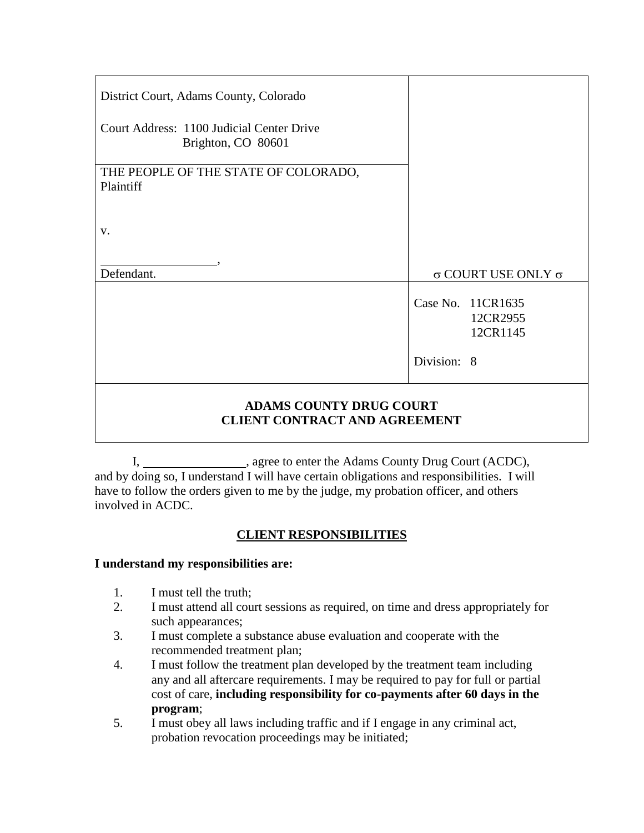| District Court, Adams County, Colorado                                 |                                           |
|------------------------------------------------------------------------|-------------------------------------------|
| Court Address: 1100 Judicial Center Drive<br>Brighton, CO 80601        |                                           |
| THE PEOPLE OF THE STATE OF COLORADO,<br>Plaintiff                      |                                           |
| V.                                                                     |                                           |
| Defendant.                                                             | $\sigma$ COURT USE ONLY $\sigma$          |
|                                                                        | Case No. 11CR1635<br>12CR2955<br>12CR1145 |
|                                                                        | Division: 8                               |
| <b>ADAMS COUNTY DRUG COURT</b><br><b>CLIENT CONTRACT AND AGREEMENT</b> |                                           |

I, \_\_\_\_\_\_\_\_\_\_\_\_\_\_\_\_\_, agree to enter the Adams County Drug Court (ACDC), and by doing so, I understand I will have certain obligations and responsibilities. I will have to follow the orders given to me by the judge, my probation officer, and others involved in ACDC.

## **CLIENT RESPONSIBILITIES**

### **I understand my responsibilities are:**

- 1. I must tell the truth;
- 2. I must attend all court sessions as required, on time and dress appropriately for such appearances;
- 3. I must complete a substance abuse evaluation and cooperate with the recommended treatment plan;
- 4. I must follow the treatment plan developed by the treatment team including any and all aftercare requirements. I may be required to pay for full or partial cost of care, **including responsibility for co-payments after 60 days in the program**;
- 5. I must obey all laws including traffic and if I engage in any criminal act, probation revocation proceedings may be initiated;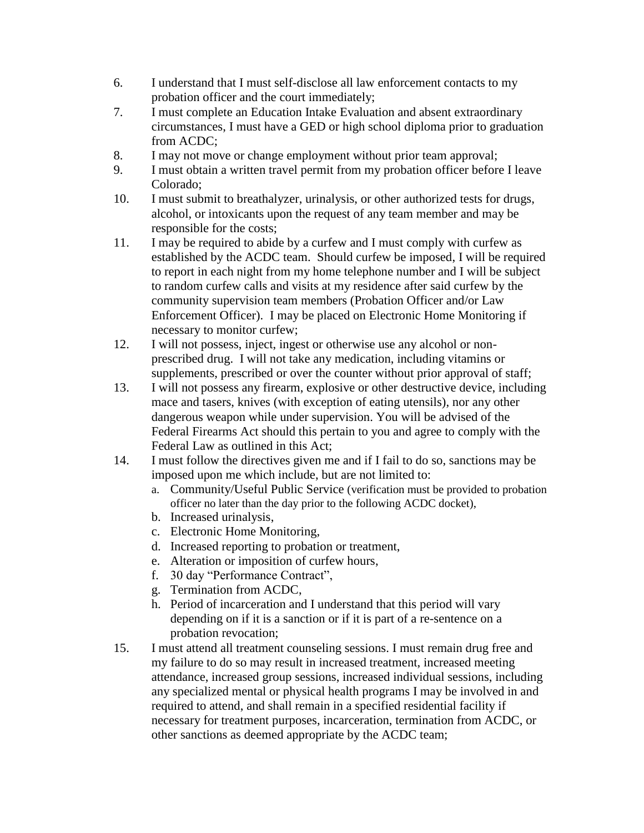- 6. I understand that I must self-disclose all law enforcement contacts to my probation officer and the court immediately;
- 7. I must complete an Education Intake Evaluation and absent extraordinary circumstances, I must have a GED or high school diploma prior to graduation from ACDC;
- 8. I may not move or change employment without prior team approval;
- 9. I must obtain a written travel permit from my probation officer before I leave Colorado;
- 10. I must submit to breathalyzer, urinalysis, or other authorized tests for drugs, alcohol, or intoxicants upon the request of any team member and may be responsible for the costs;
- 11. I may be required to abide by a curfew and I must comply with curfew as established by the ACDC team. Should curfew be imposed, I will be required to report in each night from my home telephone number and I will be subject to random curfew calls and visits at my residence after said curfew by the community supervision team members (Probation Officer and/or Law Enforcement Officer). I may be placed on Electronic Home Monitoring if necessary to monitor curfew;
- 12. I will not possess, inject, ingest or otherwise use any alcohol or nonprescribed drug. I will not take any medication, including vitamins or supplements, prescribed or over the counter without prior approval of staff;
- 13. I will not possess any firearm, explosive or other destructive device, including mace and tasers, knives (with exception of eating utensils), nor any other dangerous weapon while under supervision. You will be advised of the Federal Firearms Act should this pertain to you and agree to comply with the Federal Law as outlined in this Act;
- 14. I must follow the directives given me and if I fail to do so, sanctions may be imposed upon me which include, but are not limited to:
	- a. Community/Useful Public Service (verification must be provided to probation officer no later than the day prior to the following ACDC docket),
	- b. Increased urinalysis,
	- c. Electronic Home Monitoring,
	- d. Increased reporting to probation or treatment,
	- e. Alteration or imposition of curfew hours,
	- f. 30 day "Performance Contract",
	- g. Termination from ACDC,
	- h. Period of incarceration and I understand that this period will vary depending on if it is a sanction or if it is part of a re-sentence on a probation revocation;
- 15. I must attend all treatment counseling sessions. I must remain drug free and my failure to do so may result in increased treatment, increased meeting attendance, increased group sessions, increased individual sessions, including any specialized mental or physical health programs I may be involved in and required to attend, and shall remain in a specified residential facility if necessary for treatment purposes, incarceration, termination from ACDC, or other sanctions as deemed appropriate by the ACDC team;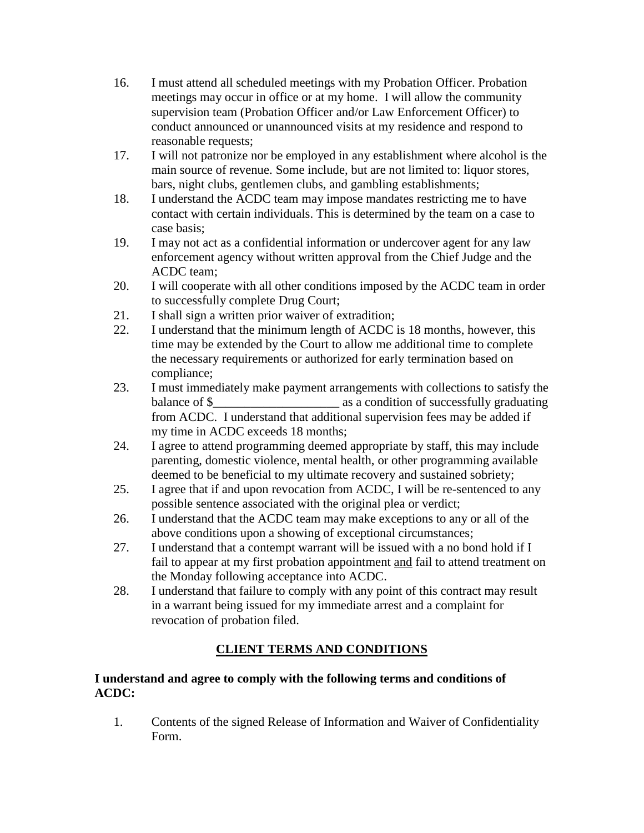- 16. I must attend all scheduled meetings with my Probation Officer. Probation meetings may occur in office or at my home. I will allow the community supervision team (Probation Officer and/or Law Enforcement Officer) to conduct announced or unannounced visits at my residence and respond to reasonable requests;
- 17. I will not patronize nor be employed in any establishment where alcohol is the main source of revenue. Some include, but are not limited to: liquor stores, bars, night clubs, gentlemen clubs, and gambling establishments;
- 18. I understand the ACDC team may impose mandates restricting me to have contact with certain individuals. This is determined by the team on a case to case basis;
- 19. I may not act as a confidential information or undercover agent for any law enforcement agency without written approval from the Chief Judge and the ACDC team;
- 20. I will cooperate with all other conditions imposed by the ACDC team in order to successfully complete Drug Court;
- 21. I shall sign a written prior waiver of extradition;
- 22. I understand that the minimum length of ACDC is 18 months, however, this time may be extended by the Court to allow me additional time to complete the necessary requirements or authorized for early termination based on compliance;
- 23. I must immediately make payment arrangements with collections to satisfy the balance of \$  $\qquad \qquad$  as a condition of successfully graduating from ACDC. I understand that additional supervision fees may be added if my time in ACDC exceeds 18 months;
- 24. I agree to attend programming deemed appropriate by staff, this may include parenting, domestic violence, mental health, or other programming available deemed to be beneficial to my ultimate recovery and sustained sobriety;
- 25. I agree that if and upon revocation from ACDC, I will be re-sentenced to any possible sentence associated with the original plea or verdict;
- 26. I understand that the ACDC team may make exceptions to any or all of the above conditions upon a showing of exceptional circumstances;
- 27. I understand that a contempt warrant will be issued with a no bond hold if I fail to appear at my first probation appointment and fail to attend treatment on the Monday following acceptance into ACDC.
- 28. I understand that failure to comply with any point of this contract may result in a warrant being issued for my immediate arrest and a complaint for revocation of probation filed.

## **CLIENT TERMS AND CONDITIONS**

#### **I understand and agree to comply with the following terms and conditions of ACDC:**

1. Contents of the signed Release of Information and Waiver of Confidentiality Form.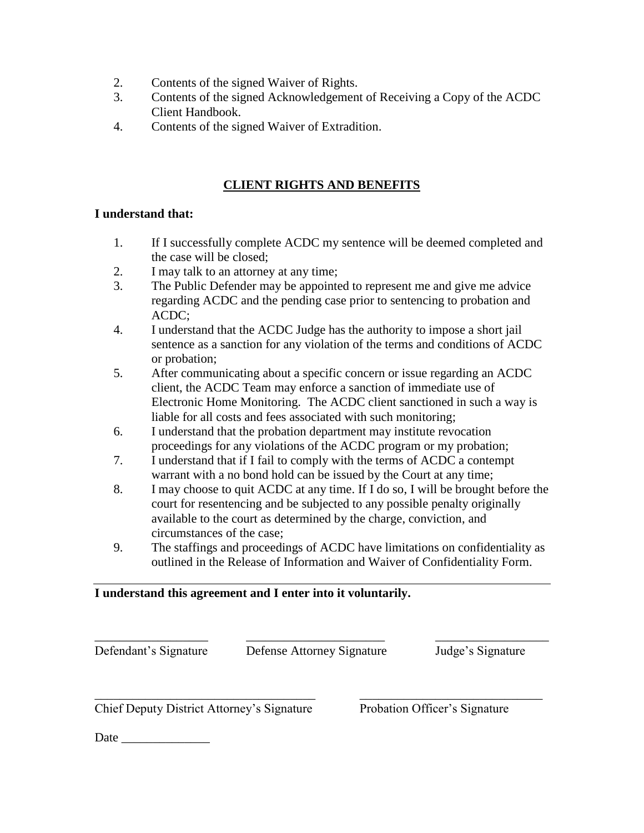- 2. Contents of the signed Waiver of Rights.
- 3. Contents of the signed Acknowledgement of Receiving a Copy of the ACDC Client Handbook.
- 4. Contents of the signed Waiver of Extradition.

## **CLIENT RIGHTS AND BENEFITS**

### **I understand that:**

- 1. If I successfully complete ACDC my sentence will be deemed completed and the case will be closed;
- 2. I may talk to an attorney at any time;
- 3. The Public Defender may be appointed to represent me and give me advice regarding ACDC and the pending case prior to sentencing to probation and ACDC;
- 4. I understand that the ACDC Judge has the authority to impose a short jail sentence as a sanction for any violation of the terms and conditions of ACDC or probation;
- 5. After communicating about a specific concern or issue regarding an ACDC client, the ACDC Team may enforce a sanction of immediate use of Electronic Home Monitoring. The ACDC client sanctioned in such a way is liable for all costs and fees associated with such monitoring;
- 6. I understand that the probation department may institute revocation proceedings for any violations of the ACDC program or my probation;
- 7. I understand that if I fail to comply with the terms of ACDC a contempt warrant with a no bond hold can be issued by the Court at any time;
- 8. I may choose to quit ACDC at any time. If I do so, I will be brought before the court for resentencing and be subjected to any possible penalty originally available to the court as determined by the charge, conviction, and circumstances of the case;
- 9. The staffings and proceedings of ACDC have limitations on confidentiality as outlined in the Release of Information and Waiver of Confidentiality Form.

### **I understand this agreement and I enter into it voluntarily.**

\_\_\_\_\_\_\_\_\_\_\_\_\_\_\_\_\_\_ \_\_\_\_\_\_\_\_\_\_\_\_\_\_\_\_\_\_\_\_\_\_ \_\_\_\_\_\_\_\_\_\_\_\_\_\_\_\_\_\_ Defendant's Signature Defense Attorney Signature Judge's Signature

\_\_\_\_\_\_\_\_\_\_\_\_\_\_\_\_\_\_\_\_\_\_\_\_\_\_\_\_\_\_\_\_\_\_\_ \_\_\_\_\_\_\_\_\_\_\_\_\_\_\_\_\_\_\_\_\_\_\_\_\_\_\_\_\_ Chief Deputy District Attorney's Signature Probation Officer's Signature

Date  $\Box$